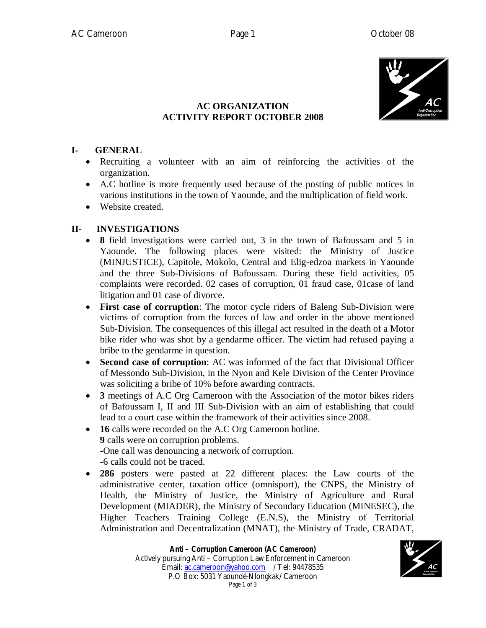

# **AC ORGANIZATION ACTIVITY REPORT OCTOBER 2008**

### **I- GENERAL**

- Recruiting a volunteer with an aim of reinforcing the activities of the organization.
- A.C hotline is more frequently used because of the posting of public notices in various institutions in the town of Yaounde, and the multiplication of field work.
- Website created.

# **II- INVESTIGATIONS**

- **8** field investigations were carried out, 3 in the town of Bafoussam and 5 in Yaounde. The following places were visited: the Ministry of Justice (MINJUSTICE), Capitole, Mokolo, Central and Elig-edzoa markets in Yaounde and the three Sub-Divisions of Bafoussam. During these field activities, 05 complaints were recorded. 02 cases of corruption, 01 fraud case, 01case of land litigation and 01 case of divorce.
- **First case of corruption**: The motor cycle riders of Baleng Sub-Division were victims of corruption from the forces of law and order in the above mentioned Sub-Division. The consequences of this illegal act resulted in the death of a Motor bike rider who was shot by a gendarme officer. The victim had refused paying a bribe to the gendarme in question.
- **Second case of corruption**: AC was informed of the fact that Divisional Officer of Messondo Sub-Division, in the Nyon and Kele Division of the Center Province was soliciting a bribe of 10% before awarding contracts.
- **3** meetings of A.C Org Cameroon with the Association of the motor bikes riders of Bafoussam I, II and III Sub-Division with an aim of establishing that could lead to a court case within the framework of their activities since 2008.
- **16** calls were recorded on the A.C Org Cameroon hotline. **9** calls were on corruption problems. -One call was denouncing a network of corruption. -6 calls could not be traced.
- **286** posters were pasted at 22 different places: the Law courts of the administrative center, taxation office (omnisport), the CNPS, the Ministry of Health, the Ministry of Justice, the Ministry of Agriculture and Rural Development (MIADER), the Ministry of Secondary Education (MINESEC), the Higher Teachers Training College (E.N.S), the Ministry of Territorial Administration and Decentralization (MNAT), the Ministry of Trade, CRADAT,

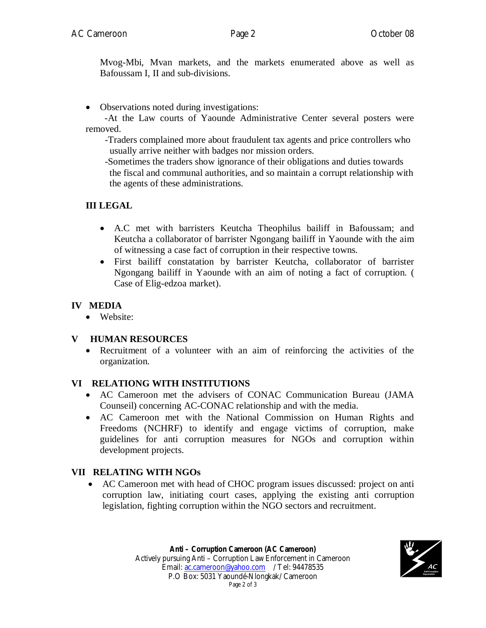Mvog-Mbi, Mvan markets, and the markets enumerated above as well as Bafoussam I, II and sub-divisions.

Observations noted during investigations:

 -At the Law courts of Yaounde Administrative Center several posters were removed.

 -Traders complained more about fraudulent tax agents and price controllers who usually arrive neither with badges nor mission orders.

 -Sometimes the traders show ignorance of their obligations and duties towards the fiscal and communal authorities, and so maintain a corrupt relationship with the agents of these administrations.

# **III LEGAL**

- A.C met with barristers Keutcha Theophilus bailiff in Bafoussam; and Keutcha a collaborator of barrister Ngongang bailiff in Yaounde with the aim of witnessing a case fact of corruption in their respective towns.
- First bailiff constatation by barrister Keutcha, collaborator of barrister Ngongang bailiff in Yaounde with an aim of noting a fact of corruption. ( Case of Elig-edzoa market).

## **IV MEDIA**

• Website:

## **V HUMAN RESOURCES**

 Recruitment of a volunteer with an aim of reinforcing the activities of the organization.

#### **VI RELATIONG WITH INSTITUTIONS**

- AC Cameroon met the advisers of CONAC Communication Bureau (JAMA Counseil) concerning AC-CONAC relationship and with the media.
- AC Cameroon met with the National Commission on Human Rights and Freedoms (NCHRF) to identify and engage victims of corruption, make guidelines for anti corruption measures for NGOs and corruption within development projects.

## **VII RELATING WITH NGOs**

• AC Cameroon met with head of CHOC program issues discussed: project on anti corruption law, initiating court cases, applying the existing anti corruption legislation, fighting corruption within the NGO sectors and recruitment.